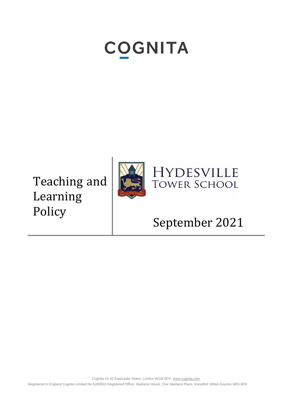# **COGNITA**

Teaching and Learning Policy





# September 2021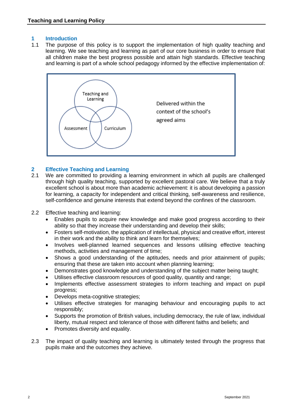#### **1 Introduction**

1.1 The purpose of this policy is to support the implementation of high quality teaching and learning. We see teaching and learning as part of our core business in order to ensure that all children make the best progress possible and attain high standards. Effective teaching and learning is part of a whole school pedagogy informed by the effective implementation of:



#### **2 Effective Teaching and Learning**

- 2.1 We are committed to providing a learning environment in which all pupils are challenged through high quality teaching, supported by excellent pastoral care. We believe that a truly excellent school is about more than academic achievement: it is about developing a passion for learning, a capacity for independent and critical thinking, self-awareness and resilience, self-confidence and genuine interests that extend beyond the confines of the classroom.
- 2.2 Effective teaching and learning:
	- Enables pupils to acquire new knowledge and make good progress according to their ability so that they increase their understanding and develop their skills;
	- Fosters self-motivation, the application of intellectual, physical and creative effort, interest in their work and the ability to think and learn for themselves;
	- Involves well-planned learned sequences and lessons utilising effective teaching methods, activities and management of time;
	- Shows a good understanding of the aptitudes, needs and prior attainment of pupils; ensuring that these are taken into account when planning learning;
	- Demonstrates good knowledge and understanding of the subject matter being taught;
	- Utilises effective classroom resources of good quality, quantity and range;
	- Implements effective assessment strategies to inform teaching and impact on pupil progress;
	- Develops meta-cognitive strategies;
	- Utilises effective strategies for managing behaviour and encouraging pupils to act responsibly;
	- Supports the promotion of British values, including democracy, the rule of law, individual liberty, mutual respect and tolerance of those with different faiths and beliefs; and
	- Promotes diversity and equality.
- 2.3 The impact of quality teaching and learning is ultimately tested through the progress that pupils make and the outcomes they achieve.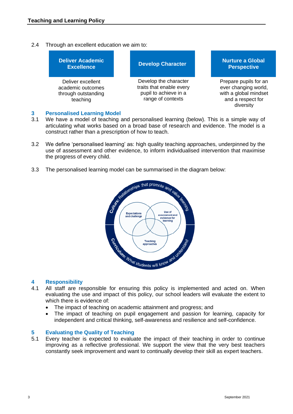#### 2.4 Through an excellent education we aim to:



#### **3 Personalised Learning Model**

- 3.1 We have a model of teaching and personalised learning (below). This is a simple way of articulating what works based on a broad base of research and evidence. The model is a construct rather than a prescription of how to teach.
- 3.2 We define 'personalised learning' as: high quality teaching approaches, underpinned by the use of assessment and other evidence, to inform individualised intervention that maximise the progress of every child.
- 



#### **4 Responsibility**

- 4.1 All staff are responsible for ensuring this policy is implemented and acted on. When evaluating the use and impact of this policy, our school leaders will evaluate the extent to which there is evidence of:
	- The impact of teaching on academic attainment and progress; and
	- The impact of teaching on pupil engagement and passion for learning, capacity for independent and critical thinking, self-awareness and resilience and self-confidence.

#### **5 Evaluating the Quality of Teaching**

5.1 Every teacher is expected to evaluate the impact of their teaching in order to continue improving as a reflective professional. We support the view that the very best teachers constantly seek improvement and want to continually develop their skill as expert teachers.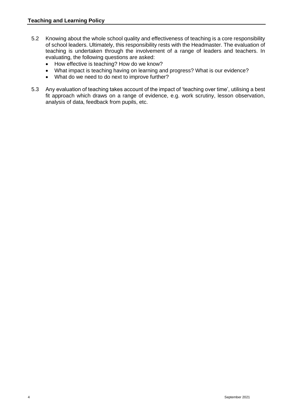- 5.2 Knowing about the whole school quality and effectiveness of teaching is a core responsibility of school leaders. Ultimately, this responsibility rests with the Headmaster. The evaluation of teaching is undertaken through the involvement of a range of leaders and teachers. In evaluating, the following questions are asked:
	- How effective is teaching? How do we know?
	- What impact is teaching having on learning and progress? What is our evidence?
	- What do we need to do next to improve further?
- 5.3 Any evaluation of teaching takes account of the impact of 'teaching over time', utilising a best fit approach which draws on a range of evidence, e.g. work scrutiny, lesson observation, analysis of data, feedback from pupils, etc.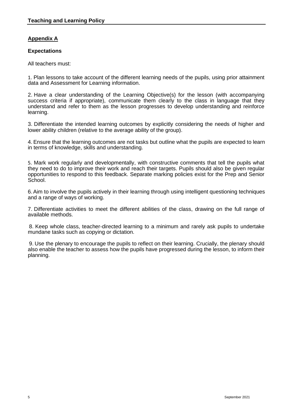# **Appendix A**

#### **Expectations**

All teachers must:

1. Plan lessons to take account of the different learning needs of the pupils, using prior attainment data and Assessment for Learning information.

2. Have a clear understanding of the Learning Objective(s) for the lesson (with accompanying success criteria if appropriate), communicate them clearly to the class in language that they understand and refer to them as the lesson progresses to develop understanding and reinforce learning.

3. Differentiate the intended learning outcomes by explicitly considering the needs of higher and lower ability children (relative to the average ability of the group).

4. Ensure that the learning outcomes are not tasks but outline what the pupils are expected to learn in terms of knowledge, skills and understanding.

5. Mark work regularly and developmentally, with constructive comments that tell the pupils what they need to do to improve their work and reach their targets. Pupils should also be given regular opportunities to respond to this feedback. Separate marking policies exist for the Prep and Senior School.

6.Aim to involve the pupils actively in their learning through using intelligent questioning techniques and a range of ways of working.

7. Differentiate activities to meet the different abilities of the class, drawing on the full range of available methods.

8. Keep whole class, teacher-directed learning to a minimum and rarely ask pupils to undertake mundane tasks such as copying or dictation.

9. Use the plenary to encourage the pupils to reflect on their learning. Crucially, the plenary should also enable the teacher to assess how the pupils have progressed during the lesson, to inform their planning.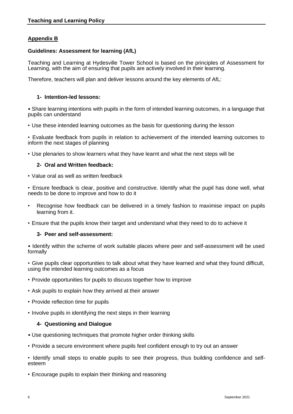# **Appendix B**

#### **Guidelines: Assessment for learning (AfL)**

Teaching and Learning at Hydesville Tower School is based on the principles of Assessment for Learning, with the aim of ensuring that pupils are actively involved in their learning.

Therefore, teachers will plan and deliver lessons around the key elements of AfL:

#### **1- Intention-led lessons:**

• Share learning intentions with pupils in the form of intended learning outcomes, in a language that pupils can understand

• Use these intended learning outcomes as the basis for questioning during the lesson

• Evaluate feedback from pupils in relation to achievement of the intended learning outcomes to inform the next stages of planning

• Use plenaries to show learners what they have learnt and what the next steps will be

#### **2- Oral and Written feedback:**

• Value oral as well as written feedback

• Ensure feedback is clear, positive and constructive. Identify what the pupil has done well, what needs to be done to improve and how to do it

- Recognise how feedback can be delivered in a timely fashion to maximise impact on pupils learning from it.
- Ensure that the pupils know their target and understand what they need to do to achieve it

#### **3- Peer and self-assessment:**

• Identify within the scheme of work suitable places where peer and self-assessment will be used formally

• Give pupils clear opportunities to talk about what they have learned and what they found difficult, using the intended learning outcomes as a focus

- Provide opportunities for pupils to discuss together how to improve
- Ask pupils to explain how they arrived at their answer
- Provide reflection time for pupils
- Involve pupils in identifying the next steps in their learning

#### **4- Questioning and Dialogue**

- Use questioning techniques that promote higher order thinking skills
- Provide a secure environment where pupils feel confident enough to try out an answer
- Identify small steps to enable pupils to see their progress, thus building confidence and selfesteem
- Encourage pupils to explain their thinking and reasoning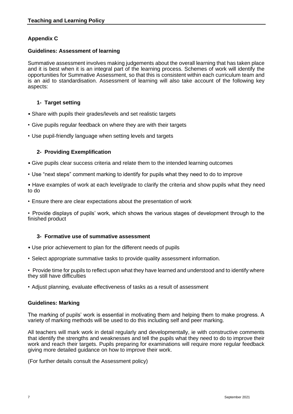# **Appendix C**

#### **Guidelines: Assessment of learning**

Summative assessment involves making judgements about the overall learning that has taken place and it is best when it is an integral part of the learning process. Schemes of work will identify the opportunities for Summative Assessment, so that this is consistent within each curriculum team and is an aid to standardisation. Assessment of learning will also take account of the following key aspects:

#### **1- Target setting**

- Share with pupils their grades/levels and set realistic targets
- Give pupils regular feedback on where they are with their targets
- Use pupil-friendly language when setting levels and targets

#### **2- Providing Exemplification**

- Give pupils clear success criteria and relate them to the intended learning outcomes
- Use "next steps" comment marking to identify for pupils what they need to do to improve

• Have examples of work at each level/grade to clarify the criteria and show pupils what they need to do

• Ensure there are clear expectations about the presentation of work

• Provide displays of pupils' work, which shows the various stages of development through to the finished product

#### **3- Formative use of summative assessment**

- Use prior achievement to plan for the different needs of pupils
- Select appropriate summative tasks to provide quality assessment information.

• Provide time for pupils to reflect upon what they have learned and understood and to identify where they still have difficulties

• Adjust planning, evaluate effectiveness of tasks as a result of assessment

#### **Guidelines: Marking**

The marking of pupils' work is essential in motivating them and helping them to make progress. A variety of marking methods will be used to do this including self and peer marking.

All teachers will mark work in detail regularly and developmentally, ie with constructive comments that identify the strengths and weaknesses and tell the pupils what they need to do to improve their work and reach their targets. Pupils preparing for examinations will require more regular feedback giving more detailed guidance on how to improve their work.

(For further details consult the Assessment policy)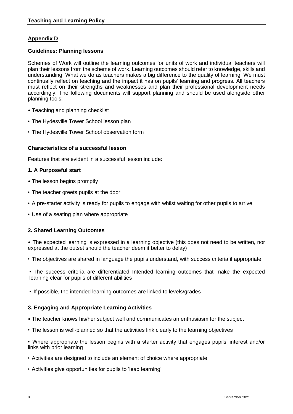# **Appendix D**

#### **Guidelines: Planning lessons**

Schemes of Work will outline the learning outcomes for units of work and individual teachers will plan their lessons from the scheme of work. Learning outcomes should refer to knowledge, skills and understanding. What we do as teachers makes a big difference to the quality of learning. We must continually reflect on teaching and the impact it has on pupils' learning and progress. All teachers must reflect on their strengths and weaknesses and plan their professional development needs accordingly. The following documents will support planning and should be used alongside other planning tools:

- Teaching and planning checklist
- The Hydesville Tower School lesson plan
- The Hydesville Tower School observation form

#### **Characteristics of a successful lesson**

Features that are evident in a successful lesson include:

#### **1. A Purposeful start**

- The lesson begins promptly
- The teacher greets pupils at the door
- A pre-starter activity is ready for pupils to engage with whilst waiting for other pupils to arrive
- Use of a seating plan where appropriate

#### **2. Shared Learning Outcomes**

• The expected learning is expressed in a learning objective (this does not need to be written, nor expressed at the outset should the teacher deem it better to delay)

• The objectives are shared in language the pupils understand, with success criteria if appropriate

• The success criteria are differentiated Intended learning outcomes that make the expected learning clear for pupils of different abilities

• If possible, the intended learning outcomes are linked to levels/grades

#### **3. Engaging and Appropriate Learning Activities**

- The teacher knows his/her subject well and communicates an enthusiasm for the subject
- The lesson is well-planned so that the activities link clearly to the learning objectives

• Where appropriate the lesson begins with a starter activity that engages pupils' interest and/or links with prior learning

- Activities are designed to include an element of choice where appropriate
- Activities give opportunities for pupils to 'lead learning'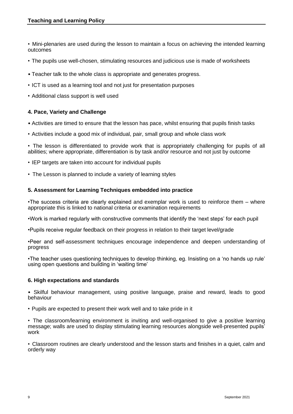• Mini-plenaries are used during the lesson to maintain a focus on achieving the intended learning outcomes

- The pupils use well-chosen, stimulating resources and judicious use is made of worksheets
- Teacher talk to the whole class is appropriate and generates progress.
- ICT is used as a learning tool and not just for presentation purposes
- Additional class support is well used

#### **4. Pace, Variety and Challenge**

- Activities are timed to ensure that the lesson has pace, whilst ensuring that pupils finish tasks
- Activities include a good mix of individual, pair, small group and whole class work

• The lesson is differentiated to provide work that is appropriately challenging for pupils of all abilities; where appropriate, differentiation is by task and/or resource and not just by outcome

- IEP targets are taken into account for individual pupils
- The Lesson is planned to include a variety of learning styles

#### **5. Assessment for Learning Techniques embedded into practice**

•The success criteria are clearly explained and exemplar work is used to reinforce them – where appropriate this is linked to national criteria or examination requirements

•Work is marked regularly with constructive comments that identify the 'next steps' for each pupil

•Pupils receive regular feedback on their progress in relation to their target level/grade

•Peer and self-assessment techniques encourage independence and deepen understanding of progress

•The teacher uses questioning techniques to develop thinking, eg. Insisting on a 'no hands up rule' using open questions and building in 'waiting time'

#### **6. High expectations and standards**

• Skilful behaviour management, using positive language, praise and reward, leads to good behaviour

• Pupils are expected to present their work well and to take pride in it

• The classroom/learning environment is inviting and well-organised to give a positive learning message; walls are used to display stimulating learning resources alongside well-presented pupils' work

• Classroom routines are clearly understood and the lesson starts and finishes in a quiet, calm and orderly way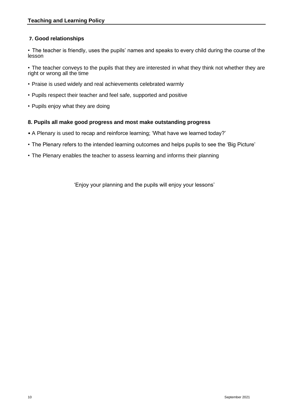# **7. Good relationships**

• The teacher is friendly, uses the pupils' names and speaks to every child during the course of the lesson

• The teacher conveys to the pupils that they are interested in what they think not whether they are right or wrong all the time

- Praise is used widely and real achievements celebrated warmly
- Pupils respect their teacher and feel safe, supported and positive
- Pupils enjoy what they are doing

#### **8. Pupils all make good progress and most make outstanding progress**

- A Plenary is used to recap and reinforce learning; 'What have we learned today?'
- The Plenary refers to the intended learning outcomes and helps pupils to see the 'Big Picture'
- The Plenary enables the teacher to assess learning and informs their planning

'Enjoy your planning and the pupils will enjoy your lessons'